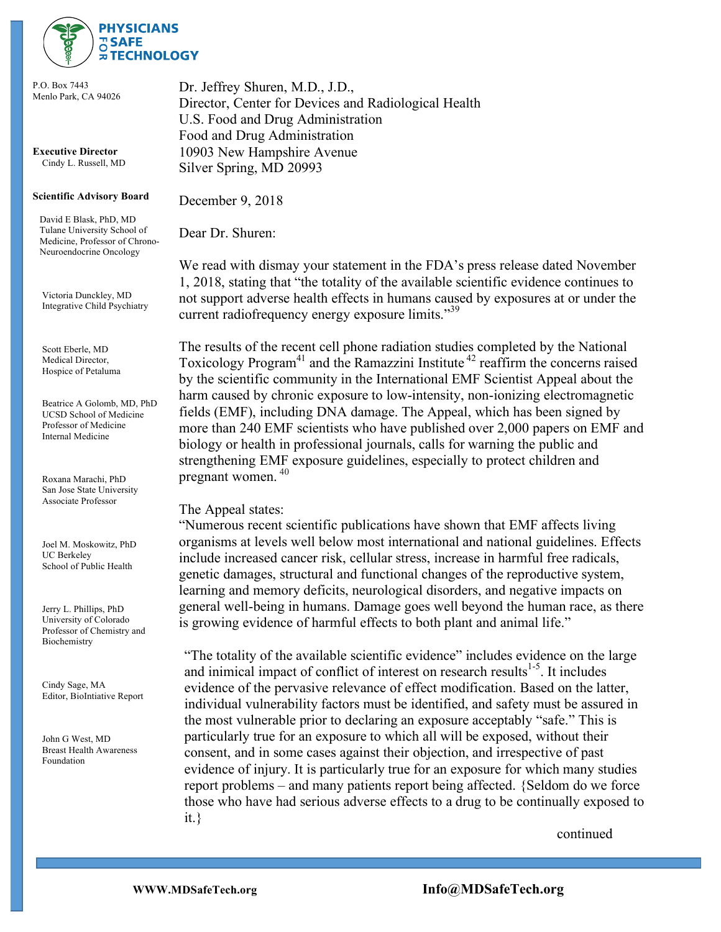

P.O. Box 7443 Menlo Park, CA 94026

**Executive Director** Cindy L. Russell, MD

## **Scientific Advisory Board**

 David E Blask, PhD, MD Tulane University School of Medicine, Professor of Chrono- Neuroendocrine Oncology

 Victoria Dunckley, MD Integrative Child Psychiatry

 Scott Eberle, MD Medical Director, Hospice of Petaluma

 Beatrice A Golomb, MD, PhD UCSD School of Medicine Professor of Medicine Internal Medicine

 Roxana Marachi, PhD San Jose State University Associate Professor

 Joel M. Moskowitz, PhD UC Berkeley School of Public Health

 Jerry L. Phillips, PhD University of Colorado Professor of Chemistry and Biochemistry

 Cindy Sage, MA Editor, BioIntiative Report

 John G West, MD Breast Health Awareness Foundation

Dr. Jeffrey Shuren, M.D., J.D., Director, Center for Devices and Radiological Health U.S. Food and Drug Administration Food and Drug Administration 10903 New Hampshire Avenue Silver Spring, MD 20993

December 9, 2018

Dear Dr. Shuren:

We read with dismay your statement in the FDA's press release dated November 1, 2018, stating that "the totality of the available scientific evidence continues to not support adverse health effects in humans caused by exposures at or under the current radiofrequency energy exposure limits."<sup>39</sup>

The results of the recent cell phone radiation studies completed by the National Toxicology  $P^{1/2}$  and the Ramazzini Institute  $42$  reaffirm the concerns raised by the scientific community in the International EMF Scientist Appeal about the harm caused by chronic exposure to low-intensity, non-ionizing electromagnetic fields (EMF), including DNA damage. The Appeal, which has been signed by more than 240 EMF scientists who have published over 2,000 papers on EMF and biology or health in professional journals, calls for warning the public and strengthening EMF exposure guidelines, especially to protect children and pregnant women. <sup>40</sup>

## The Appeal states:

"Numerous recent scientific publications have shown that EMF affects living organisms at levels well below most international and national guidelines. Effects include increased cancer risk, cellular stress, increase in harmful free radicals, genetic damages, structural and functional changes of the reproductive system, learning and memory deficits, neurological disorders, and negative impacts on general well-being in humans. Damage goes well beyond the human race, as there is growing evidence of harmful effects to both plant and animal life."

"The totality of the available scientific evidence" includes evidence on the large and inimical impact of conflict of interest on research results $1.5$ . It includes evidence of the pervasive relevance of effect modification. Based on the latter, individual vulnerability factors must be identified, and safety must be assured in the most vulnerable prior to declaring an exposure acceptably "safe." This is particularly true for an exposure to which all will be exposed, without their consent, and in some cases against their objection, and irrespective of past evidence of injury. It is particularly true for an exposure for which many studies report problems – and many patients report being affected. {Seldom do we force those who have had serious adverse effects to a drug to be continually exposed to it.}

continued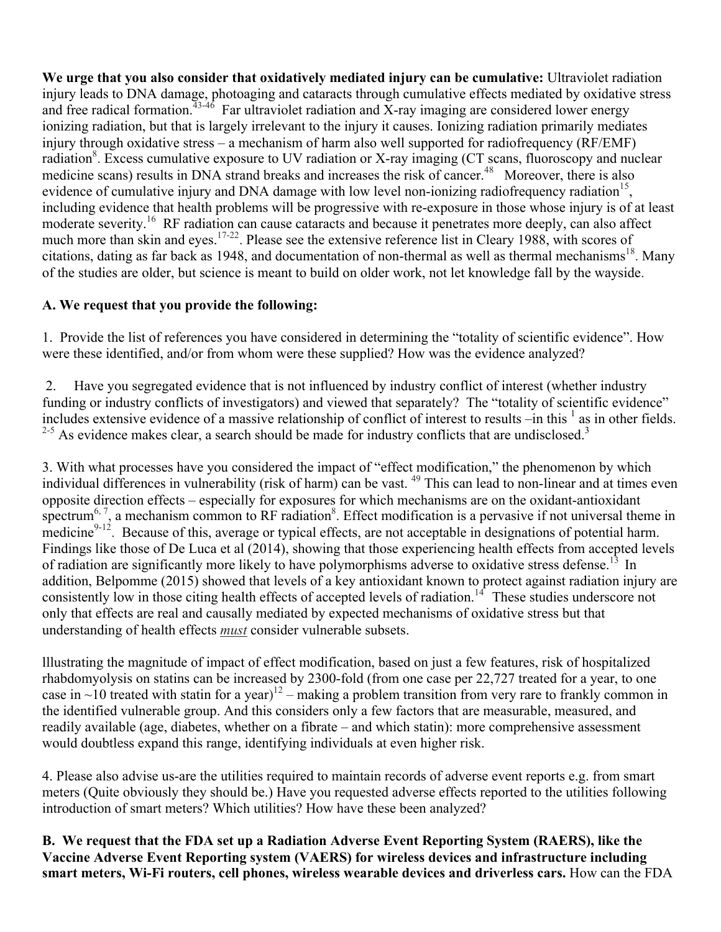**We urge that you also consider that oxidatively mediated injury can be cumulative:** Ultraviolet radiation injury leads to DNA damage, photoaging and cataracts through cumulative effects mediated by oxidative stress and free radical formation.<sup> $43-46$ </sup> Far ultraviolet radiation and X-ray imaging are considered lower energy ionizing radiation, but that is largely irrelevant to the injury it causes. Ionizing radiation primarily mediates injury through oxidative stress – a mechanism of harm also well supported for radiofrequency (RF/EMF) radiation<sup>8</sup>. Excess cumulative exposure to UV radiation or X-ray imaging (CT scans, fluoroscopy and nuclear medicine scans) results in DNA strand breaks and increases the risk of cancer.<sup>48</sup> Moreover, there is also evidence of cumulative injury and DNA damage with low level non-ionizing radiofrequency radiation<sup>15</sup>, including evidence that health problems will be progressive with re-exposure in those whose injury is of at least moderate severity.<sup>16</sup> RF radiation can cause cataracts and because it penetrates more deeply, can also affect much more than skin and eyes.<sup>17-22</sup>. Please see the extensive reference list in Cleary 1988, with scores of citations, dating as far back as 1948, and documentation of non-thermal as well as thermal mechanisms<sup>18</sup>. Many of the studies are older, but science is meant to build on older work, not let knowledge fall by the wayside.

## **A. We request that you provide the following:**

1. Provide the list of references you have considered in determining the "totality of scientific evidence". How were these identified, and/or from whom were these supplied? How was the evidence analyzed?

2. Have you segregated evidence that is not influenced by industry conflict of interest (whether industry funding or industry conflicts of investigators) and viewed that separately? The "totality of scientific evidence" includes extensive evidence of a massive relationship of conflict of interest to results  $-\text{in this}^{-1}$  as in other fields.  $2-5$  As evidence makes clear, a search should be made for industry conflicts that are undisclosed.<sup>3</sup>

3. With what processes have you considered the impact of "effect modification," the phenomenon by which individual differences in vulnerability (risk of harm) can be vast. <sup>49</sup> This can lead to non-linear and at times even opposite direction effects – especially for exposures for which mechanisms are on the oxidant-antioxidant spectrum<sup>6, 7</sup>, a mechanism common to RF radiation<sup>8</sup>. Effect modification is a pervasive if not universal theme in medicine $9-12$ . Because of this, average or typical effects, are not acceptable in designations of potential harm. Findings like those of De Luca et al (2014), showing that those experiencing health effects from accepted levels of radiation are significantly more likely to have polymorphisms adverse to oxidative stress defense.<sup>13</sup> In addition, Belpomme (2015) showed that levels of a key antioxidant known to protect against radiation injury are consistently low in those citing health effects of accepted levels of radiation.<sup>14</sup> These studies underscore not only that effects are real and causally mediated by expected mechanisms of oxidative stress but that understanding of health effects *must* consider vulnerable subsets.

lllustrating the magnitude of impact of effect modification, based on just a few features, risk of hospitalized rhabdomyolysis on statins can be increased by 2300-fold (from one case per 22,727 treated for a year, to one case in  $\sim$ 10 treated with statin for a year)<sup>12</sup> – making a problem transition from very rare to frankly common in the identified vulnerable group. And this considers only a few factors that are measurable, measured, and readily available (age, diabetes, whether on a fibrate – and which statin): more comprehensive assessment would doubtless expand this range, identifying individuals at even higher risk.

4. Please also advise us-are the utilities required to maintain records of adverse event reports e.g. from smart meters (Quite obviously they should be.) Have you requested adverse effects reported to the utilities following introduction of smart meters? Which utilities? How have these been analyzed?

**B. We request that the FDA set up a Radiation Adverse Event Reporting System (RAERS), like the Vaccine Adverse Event Reporting system (VAERS) for wireless devices and infrastructure including smart meters, Wi-Fi routers, cell phones, wireless wearable devices and driverless cars.** How can the FDA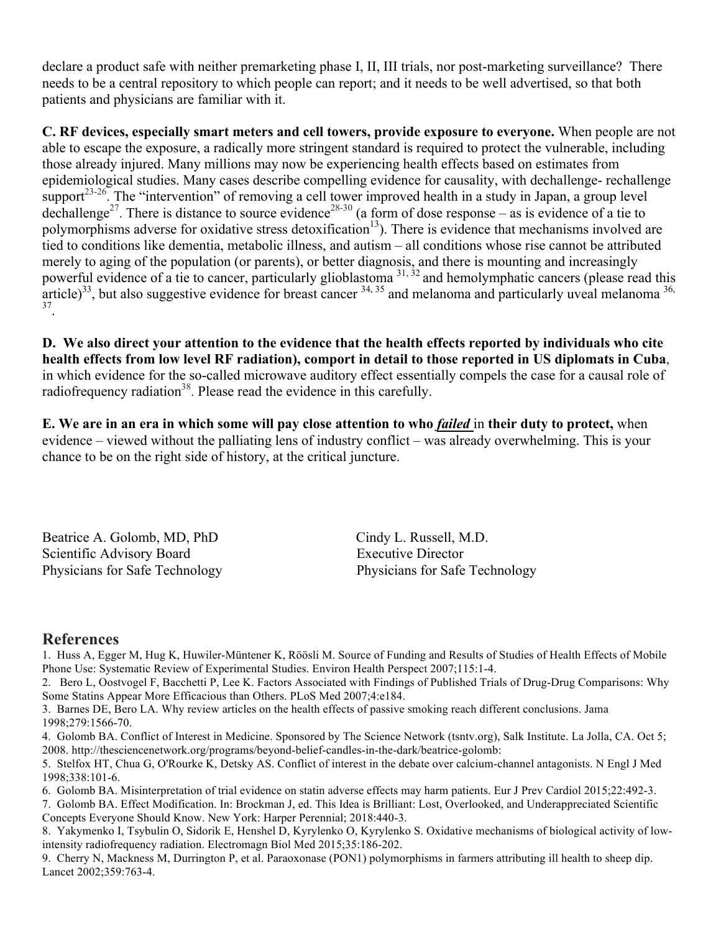declare a product safe with neither premarketing phase I, II, III trials, nor post-marketing surveillance? There needs to be a central repository to which people can report; and it needs to be well advertised, so that both patients and physicians are familiar with it.

**C. RF devices, especially smart meters and cell towers, provide exposure to everyone.** When people are not able to escape the exposure, a radically more stringent standard is required to protect the vulnerable, including those already injured. Many millions may now be experiencing health effects based on estimates from epidemiological studies. Many cases describe compelling evidence for causality, with dechallenge- rechallenge support<sup>23-26</sup>. The "intervention" of removing a cell tower improved health in a study in Japan, a group level dechallenge<sup>27</sup>. There is distance to source evidence<sup>28-30</sup> (a form of dose response – as is evidence of a tie to polymorphisms adverse for oxidative stress detoxification<sup>13</sup>). There is evidence that mechanisms involved are tied to conditions like dementia, metabolic illness, and autism – all conditions whose rise cannot be attributed merely to aging of the population (or parents), or better diagnosis, and there is mounting and increasingly powerful evidence of a tie to cancer, particularly glioblastoma<sup>31,32</sup> and hemolymphatic cancers (please read this article)<sup>33</sup>, but also suggestive evidence for breast cancer  $34, 35$  and melanoma and particularly uveal melanoma  $36$ , 37.

**D. We also direct your attention to the evidence that the health effects reported by individuals who cite health effects from low level RF radiation), comport in detail to those reported in US diplomats in Cuba**, in which evidence for the so-called microwave auditory effect essentially compels the case for a causal role of radiofrequency radiation<sup>38</sup>. Please read the evidence in this carefully.

**E. We are in an era in which some will pay close attention to who** *failed* in **their duty to protect,** when evidence – viewed without the palliating lens of industry conflict – was already overwhelming. This is your chance to be on the right side of history, at the critical juncture.

Beatrice A. Golomb, MD, PhD Cindy L. Russell, M.D. Scientific Advisory Board Executive Director

Physicians for Safe Technology Physicians for Safe Technology

## **References**

1. Huss A, Egger M, Hug K, Huwiler-Müntener K, Röösli M. Source of Funding and Results of Studies of Health Effects of Mobile Phone Use: Systematic Review of Experimental Studies. Environ Health Perspect 2007;115:1-4.

2. Bero L, Oostvogel F, Bacchetti P, Lee K. Factors Associated with Findings of Published Trials of Drug-Drug Comparisons: Why Some Statins Appear More Efficacious than Others. PLoS Med 2007;4:e184.

3. Barnes DE, Bero LA. Why review articles on the health effects of passive smoking reach different conclusions. Jama 1998;279:1566-70.

4. Golomb BA. Conflict of Interest in Medicine. Sponsored by The Science Network (tsntv.org), Salk Institute. La Jolla, CA. Oct 5; 2008. http://thesciencenetwork.org/programs/beyond-belief-candles-in-the-dark/beatrice-golomb:

5. Stelfox HT, Chua G, O'Rourke K, Detsky AS. Conflict of interest in the debate over calcium-channel antagonists. N Engl J Med 1998;338:101-6.

6. Golomb BA. Misinterpretation of trial evidence on statin adverse effects may harm patients. Eur J Prev Cardiol 2015;22:492-3.

7. Golomb BA. Effect Modification. In: Brockman J, ed. This Idea is Brilliant: Lost, Overlooked, and Underappreciated Scientific Concepts Everyone Should Know. New York: Harper Perennial; 2018:440-3.

8. Yakymenko I, Tsybulin O, Sidorik E, Henshel D, Kyrylenko O, Kyrylenko S. Oxidative mechanisms of biological activity of lowintensity radiofrequency radiation. Electromagn Biol Med 2015;35:186-202.

9. Cherry N, Mackness M, Durrington P, et al. Paraoxonase (PON1) polymorphisms in farmers attributing ill health to sheep dip. Lancet 2002;359:763-4.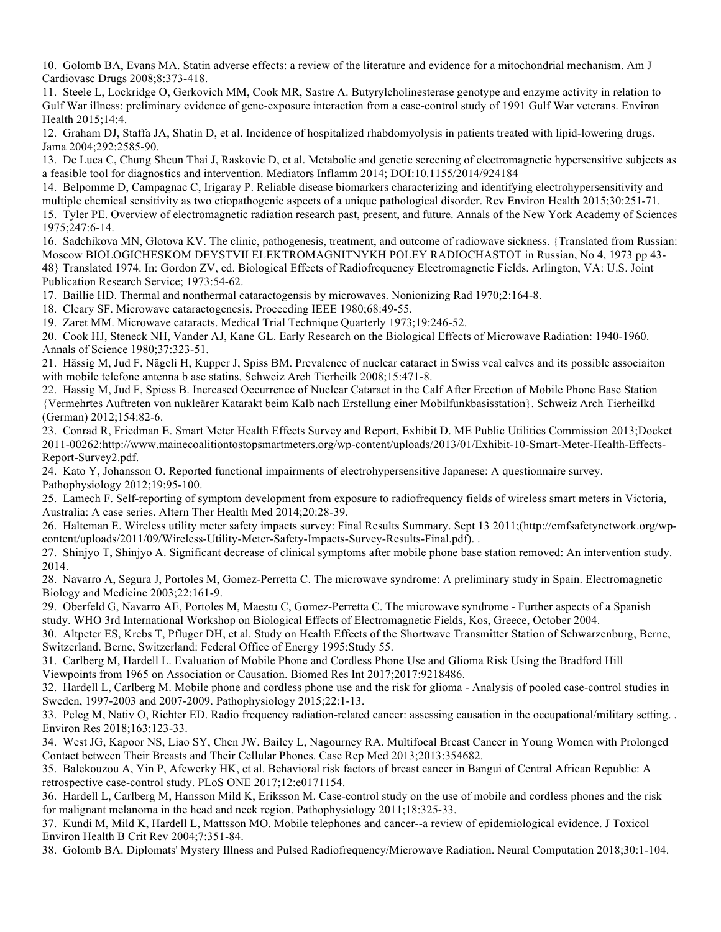10. Golomb BA, Evans MA. Statin adverse effects: a review of the literature and evidence for a mitochondrial mechanism. Am J Cardiovasc Drugs 2008;8:373-418.

11. Steele L, Lockridge O, Gerkovich MM, Cook MR, Sastre A. Butyrylcholinesterase genotype and enzyme activity in relation to Gulf War illness: preliminary evidence of gene-exposure interaction from a case-control study of 1991 Gulf War veterans. Environ Health 2015;14:4.

12. Graham DJ, Staffa JA, Shatin D, et al. Incidence of hospitalized rhabdomyolysis in patients treated with lipid-lowering drugs. Jama 2004;292:2585-90.

13. De Luca C, Chung Sheun Thai J, Raskovic D, et al. Metabolic and genetic screening of electromagnetic hypersensitive subjects as a feasible tool for diagnostics and intervention. Mediators Inflamm 2014; DOI:10.1155/2014/924184

14. Belpomme D, Campagnac C, Irigaray P. Reliable disease biomarkers characterizing and identifying electrohypersensitivity and multiple chemical sensitivity as two etiopathogenic aspects of a unique pathological disorder. Rev Environ Health 2015;30:251-71. 15. Tyler PE. Overview of electromagnetic radiation research past, present, and future. Annals of the New York Academy of Sciences 1975;247:6-14.

16. Sadchikova MN, Glotova KV. The clinic, pathogenesis, treatment, and outcome of radiowave sickness. {Translated from Russian: Moscow BIOLOGICHESKOM DEYSTVII ELEKTROMAGNITNYKH POLEY RADIOCHASTOT in Russian, No 4, 1973 pp 43- 48} Translated 1974. In: Gordon ZV, ed. Biological Effects of Radiofrequency Electromagnetic Fields. Arlington, VA: U.S. Joint Publication Research Service; 1973:54-62.

17. Baillie HD. Thermal and nonthermal cataractogensis by microwaves. Nonionizing Rad 1970;2:164-8.

18. Cleary SF. Microwave cataractogenesis. Proceeding IEEE 1980;68:49-55.

19. Zaret MM. Microwave cataracts. Medical Trial Technique Quarterly 1973;19:246-52.

20. Cook HJ, Steneck NH, Vander AJ, Kane GL. Early Research on the Biological Effects of Microwave Radiation: 1940-1960. Annals of Science 1980;37:323-51.

21. Hässig M, Jud F, Nägeli H, Kupper J, Spiss BM. Prevalence of nuclear cataract in Swiss veal calves and its possible associaiton with mobile telefone antenna b ase statins. Schweiz Arch Tierheilk 2008;15:471-8.

22. Hassig M, Jud F, Spiess B. Increased Occurrence of Nuclear Cataract in the Calf After Erection of Mobile Phone Base Station {Vermehrtes Auftreten von nukleärer Katarakt beim Kalb nach Erstellung einer Mobilfunkbasisstation}. Schweiz Arch Tierheilkd (German) 2012;154:82-6.

23. Conrad R, Friedman E. Smart Meter Health Effects Survey and Report, Exhibit D. ME Public Utilities Commission 2013;Docket 2011-00262:http://www.mainecoalitiontostopsmartmeters.org/wp-content/uploads/2013/01/Exhibit-10-Smart-Meter-Health-Effects-Report-Survey2.pdf.

24. Kato Y, Johansson O. Reported functional impairments of electrohypersensitive Japanese: A questionnaire survey. Pathophysiology 2012;19:95-100.

25. Lamech F. Self-reporting of symptom development from exposure to radiofrequency fields of wireless smart meters in Victoria, Australia: A case series. Altern Ther Health Med 2014;20:28-39.

26. Halteman E. Wireless utility meter safety impacts survey: Final Results Summary. Sept 13 2011;(http://emfsafetynetwork.org/wpcontent/uploads/2011/09/Wireless-Utility-Meter-Safety-Impacts-Survey-Results-Final.pdf). .

27. Shinjyo T, Shinjyo A. Significant decrease of clinical symptoms after mobile phone base station removed: An intervention study. 2014.

28. Navarro A, Segura J, Portoles M, Gomez-Perretta C. The microwave syndrome: A preliminary study in Spain. Electromagnetic Biology and Medicine 2003;22:161-9.

29. Oberfeld G, Navarro AE, Portoles M, Maestu C, Gomez-Perretta C. The microwave syndrome - Further aspects of a Spanish study. WHO 3rd International Workshop on Biological Effects of Electromagnetic Fields, Kos, Greece, October 2004.

30. Altpeter ES, Krebs T, Pfluger DH, et al. Study on Health Effects of the Shortwave Transmitter Station of Schwarzenburg, Berne, Switzerland. Berne, Switzerland: Federal Office of Energy 1995;Study 55.

31. Carlberg M, Hardell L. Evaluation of Mobile Phone and Cordless Phone Use and Glioma Risk Using the Bradford Hill Viewpoints from 1965 on Association or Causation. Biomed Res Int 2017;2017:9218486.

32. Hardell L, Carlberg M. Mobile phone and cordless phone use and the risk for glioma - Analysis of pooled case-control studies in Sweden, 1997-2003 and 2007-2009. Pathophysiology 2015;22:1-13.

33. Peleg M, Nativ O, Richter ED. Radio frequency radiation-related cancer: assessing causation in the occupational/military setting. . Environ Res 2018;163:123-33.

34. West JG, Kapoor NS, Liao SY, Chen JW, Bailey L, Nagourney RA. Multifocal Breast Cancer in Young Women with Prolonged Contact between Their Breasts and Their Cellular Phones. Case Rep Med 2013;2013:354682.

35. Balekouzou A, Yin P, Afewerky HK, et al. Behavioral risk factors of breast cancer in Bangui of Central African Republic: A retrospective case-control study. PLoS ONE 2017;12:e0171154.

36. Hardell L, Carlberg M, Hansson Mild K, Eriksson M. Case-control study on the use of mobile and cordless phones and the risk for malignant melanoma in the head and neck region. Pathophysiology 2011;18:325-33.

37. Kundi M, Mild K, Hardell L, Mattsson MO. Mobile telephones and cancer--a review of epidemiological evidence. J Toxicol Environ Health B Crit Rev 2004;7:351-84.

38. Golomb BA. Diplomats' Mystery Illness and Pulsed Radiofrequency/Microwave Radiation. Neural Computation 2018;30:1-104.